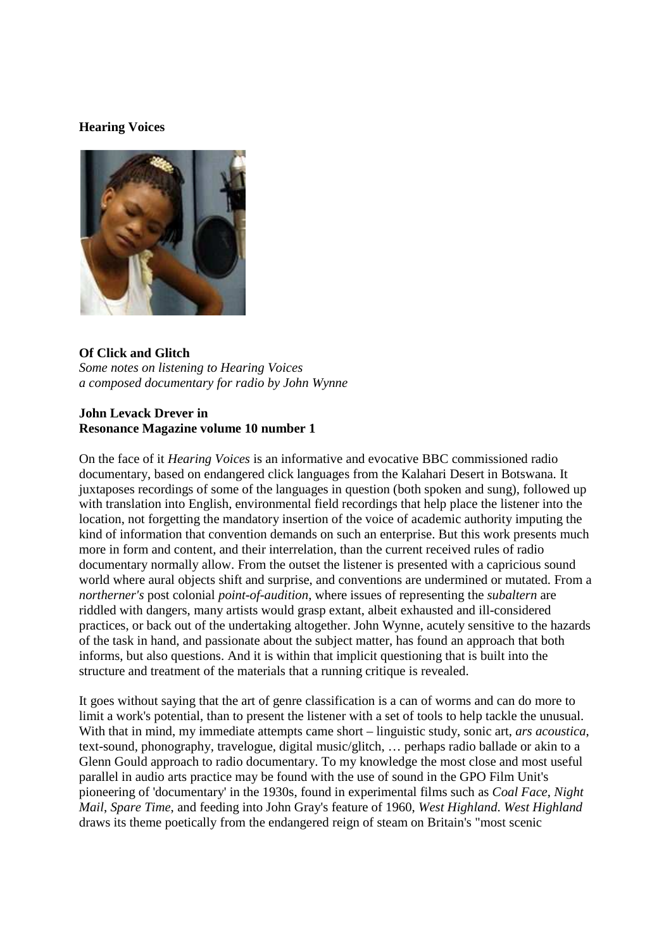## **Hearing Voices**



## **Of Click and Glitch**

*Some notes on listening to Hearing Voices a composed documentary for radio by John Wynne*

## **John Levack Drever in Resonance Magazine volume 10 number 1**

On the face of it *Hearing Voices* is an informative and evocative BBC commissioned radio documentary, based on endangered click languages from the Kalahari Desert in Botswana. It juxtaposes recordings of some of the languages in question (both spoken and sung), followed up with translation into English, environmental field recordings that help place the listener into the location, not forgetting the mandatory insertion of the voice of academic authority imputing the kind of information that convention demands on such an enterprise. But this work presents much more in form and content, and their interrelation, than the current received rules of radio documentary normally allow. From the outset the listener is presented with a capricious sound world where aural objects shift and surprise, and conventions are undermined or mutated. From a *northerner's* post colonial *point-of-audition*, where issues of representing the *subaltern* are riddled with dangers, many artists would grasp extant, albeit exhausted and ill-considered practices, or back out of the undertaking altogether. John Wynne, acutely sensitive to the hazards of the task in hand, and passionate about the subject matter, has found an approach that both informs, but also questions. And it is within that implicit questioning that is built into the structure and treatment of the materials that a running critique is revealed.

It goes without saying that the art of genre classification is a can of worms and can do more to limit a work's potential, than to present the listener with a set of tools to help tackle the unusual. With that in mind, my immediate attempts came short – linguistic study, sonic art, *ars acoustica*, text-sound, phonography, travelogue, digital music/glitch, … perhaps radio ballade or akin to a Glenn Gould approach to radio documentary. To my knowledge the most close and most useful parallel in audio arts practice may be found with the use of sound in the GPO Film Unit's pioneering of 'documentary' in the 1930s, found in experimental films such as *Coal Face*, *Night Mail*, *Spare Time*, and feeding into John Gray's feature of 1960, *West Highland*. *West Highland* draws its theme poetically from the endangered reign of steam on Britain's "most scenic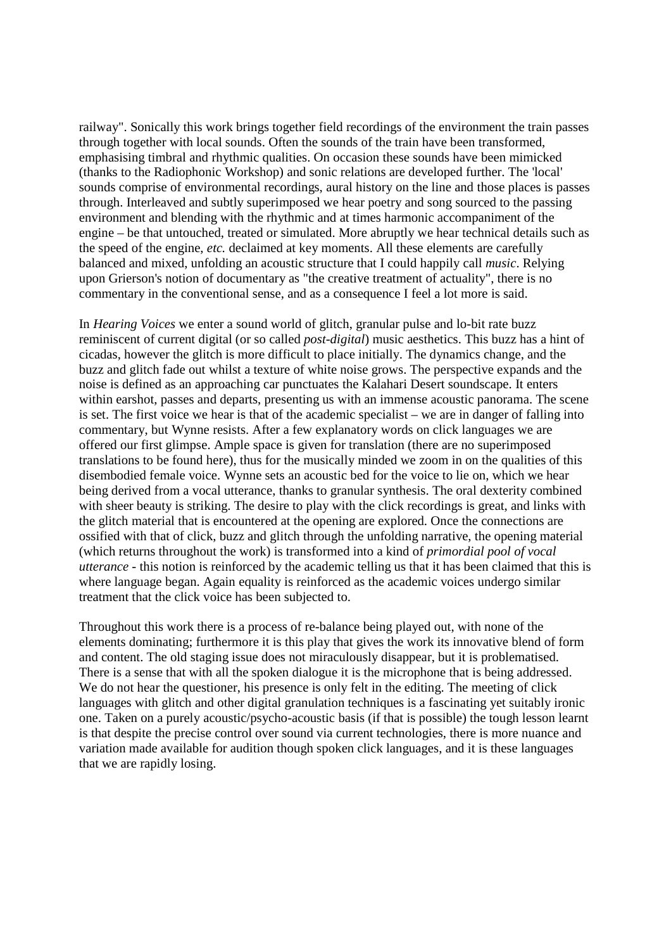railway". Sonically this work brings together field recordings of the environment the train passes through together with local sounds. Often the sounds of the train have been transformed, emphasising timbral and rhythmic qualities. On occasion these sounds have been mimicked (thanks to the Radiophonic Workshop) and sonic relations are developed further. The 'local' sounds comprise of environmental recordings, aural history on the line and those places is passes through. Interleaved and subtly superimposed we hear poetry and song sourced to the passing environment and blending with the rhythmic and at times harmonic accompaniment of the engine – be that untouched, treated or simulated. More abruptly we hear technical details such as the speed of the engine, *etc.* declaimed at key moments. All these elements are carefully balanced and mixed, unfolding an acoustic structure that I could happily call *music*. Relying upon Grierson's notion of documentary as "the creative treatment of actuality", there is no commentary in the conventional sense, and as a consequence I feel a lot more is said.

In *Hearing Voices* we enter a sound world of glitch, granular pulse and lo-bit rate buzz reminiscent of current digital (or so called *post-digital*) music aesthetics. This buzz has a hint of cicadas, however the glitch is more difficult to place initially. The dynamics change, and the buzz and glitch fade out whilst a texture of white noise grows. The perspective expands and the noise is defined as an approaching car punctuates the Kalahari Desert soundscape. It enters within earshot, passes and departs, presenting us with an immense acoustic panorama. The scene is set. The first voice we hear is that of the academic specialist – we are in danger of falling into commentary, but Wynne resists. After a few explanatory words on click languages we are offered our first glimpse. Ample space is given for translation (there are no superimposed translations to be found here), thus for the musically minded we zoom in on the qualities of this disembodied female voice. Wynne sets an acoustic bed for the voice to lie on, which we hear being derived from a vocal utterance, thanks to granular synthesis. The oral dexterity combined with sheer beauty is striking. The desire to play with the click recordings is great, and links with the glitch material that is encountered at the opening are explored. Once the connections are ossified with that of click, buzz and glitch through the unfolding narrative, the opening material (which returns throughout the work) is transformed into a kind of *primordial pool of vocal utterance* - this notion is reinforced by the academic telling us that it has been claimed that this is where language began. Again equality is reinforced as the academic voices undergo similar treatment that the click voice has been subjected to.

Throughout this work there is a process of re-balance being played out, with none of the elements dominating; furthermore it is this play that gives the work its innovative blend of form and content. The old staging issue does not miraculously disappear, but it is problematised. There is a sense that with all the spoken dialogue it is the microphone that is being addressed. We do not hear the questioner, his presence is only felt in the editing. The meeting of click languages with glitch and other digital granulation techniques is a fascinating yet suitably ironic one. Taken on a purely acoustic/psycho-acoustic basis (if that is possible) the tough lesson learnt is that despite the precise control over sound via current technologies, there is more nuance and variation made available for audition though spoken click languages, and it is these languages that we are rapidly losing.